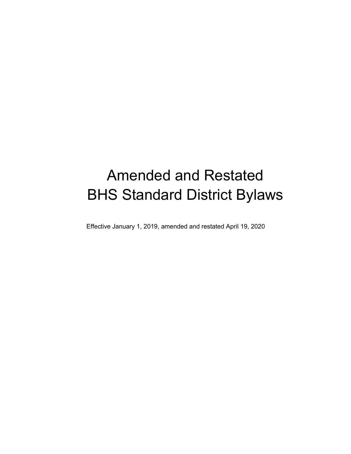# Amended and Restated BHS Standard District Bylaws

Effective January 1, 2019, amended and restated April 19, 2020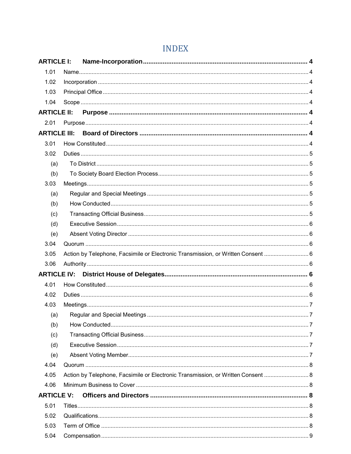| <b>ARTICLE I:</b>  |                                                                                  |  |  |
|--------------------|----------------------------------------------------------------------------------|--|--|
| 1.01               |                                                                                  |  |  |
| 1.02               |                                                                                  |  |  |
| 1.03               |                                                                                  |  |  |
| 1.04               |                                                                                  |  |  |
| <b>ARTICLE II:</b> |                                                                                  |  |  |
| 2.01               |                                                                                  |  |  |
|                    | <b>ARTICLE III:</b>                                                              |  |  |
| 3.01               |                                                                                  |  |  |
| 3.02               |                                                                                  |  |  |
| (a)                |                                                                                  |  |  |
| (b)                |                                                                                  |  |  |
| 3.03               |                                                                                  |  |  |
| (a)                |                                                                                  |  |  |
| (b)                |                                                                                  |  |  |
| (c)                |                                                                                  |  |  |
| (d)                |                                                                                  |  |  |
| (e)                |                                                                                  |  |  |
| 3.04               |                                                                                  |  |  |
| 3.05               | Action by Telephone, Facsimile or Electronic Transmission, or Written Consent  6 |  |  |
| 3.06               |                                                                                  |  |  |
| <b>ARTICLE IV:</b> |                                                                                  |  |  |
| 4.01               |                                                                                  |  |  |
| 4.02               |                                                                                  |  |  |
| 4.03               |                                                                                  |  |  |
| (a)                |                                                                                  |  |  |
| (b)                |                                                                                  |  |  |
| (c)                |                                                                                  |  |  |
| (d)                |                                                                                  |  |  |
| (e)                |                                                                                  |  |  |
| 4.04               |                                                                                  |  |  |
| 4.05               | Action by Telephone, Facsimile or Electronic Transmission, or Written Consent  8 |  |  |
| 4.06               |                                                                                  |  |  |
| <b>ARTICLE V:</b>  |                                                                                  |  |  |
| 5.01               |                                                                                  |  |  |
| 5.02               |                                                                                  |  |  |
| 5.03               |                                                                                  |  |  |
| 5.04               |                                                                                  |  |  |

## **INDEX**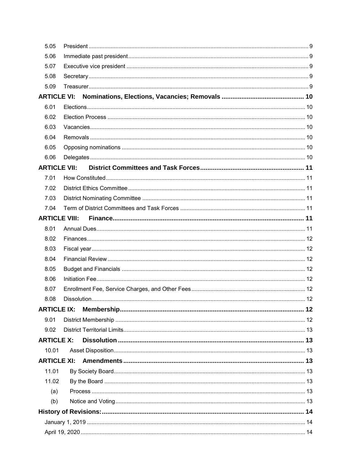| 5.05                 |  |  |  |
|----------------------|--|--|--|
| 5.06                 |  |  |  |
| 5.07                 |  |  |  |
| 5.08                 |  |  |  |
| 5.09                 |  |  |  |
| <b>ARTICLE VI:</b>   |  |  |  |
| 6.01                 |  |  |  |
| 6.02                 |  |  |  |
| 6.03                 |  |  |  |
| 6.04                 |  |  |  |
| 6.05                 |  |  |  |
| 6.06                 |  |  |  |
| <b>ARTICLE VII:</b>  |  |  |  |
| 7.01                 |  |  |  |
| 7.02                 |  |  |  |
| 7.03                 |  |  |  |
| 7.04                 |  |  |  |
| <b>ARTICLE VIII:</b> |  |  |  |
| 8.01                 |  |  |  |
| 8.02                 |  |  |  |
| 8.03                 |  |  |  |
| 8.04                 |  |  |  |
| 8.05                 |  |  |  |
| 8.06                 |  |  |  |
| 8.07                 |  |  |  |
| 8.08                 |  |  |  |
| <b>ARTICLE IX:</b>   |  |  |  |
| 9.01                 |  |  |  |
| 9.02                 |  |  |  |
| <b>ARTICLE X:</b>    |  |  |  |
| 10.01                |  |  |  |
| <b>ARTICLE XI:</b>   |  |  |  |
| 11.01                |  |  |  |
| 11.02                |  |  |  |
| (a)                  |  |  |  |
| (b)                  |  |  |  |
|                      |  |  |  |
|                      |  |  |  |
|                      |  |  |  |
|                      |  |  |  |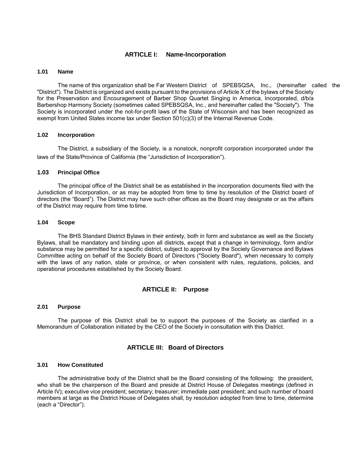## **ARTICLE I: Name-Incorporation**

#### <span id="page-3-1"></span><span id="page-3-0"></span>**1.01 Name**

The name of this organization shall be Far Western District of SPEBSQSA, Inc., (hereinafter called the "District"). The District is organized and exists pursuant to the provisions of Article X of the bylaws of the Society for the Preservation and Encouragement of Barber Shop Quartet Singing in America, Incorporated, d/b/a Barbershop Harmony Society (sometimes called SPEBSQSA, Inc., and hereinafter called the "Society"). The Society is incorporated under the not-for-profit laws of the State of Wisconsin and has been recognized as exempt from United States income tax under Section 501(c)(3) of the Internal Revenue Code.

#### <span id="page-3-2"></span>**1.02 Incorporation**

The District, a subsidiary of the Society, is a nonstock, nonprofit corporation incorporated under the laws of the State/Province of California (the "Jurisdiction of Incorporation").

#### <span id="page-3-3"></span>**1.03 Principal Office**

The principal office of the District shall be as established in the incorporation documents filed with the Jurisdiction of Incorporation, or as may be adopted from time to time by resolution of the District board of directors (the "Board"). The District may have such other offices as the Board may designate or as the affairs of the District may require from time to time.

#### <span id="page-3-4"></span>**1.04 Scope**

The BHS Standard District Bylaws in their entirety, both in form and substance as well as the Society Bylaws, shall be mandatory and binding upon all districts, except that a change in terminology, form and/or substance may be permitted for a specific district, subject to approval by the Society Governance and Bylaws Committee acting on behalf of the Society Board of Directors ("Society Board"), when necessary to comply with the laws of any nation, state or province, or when consistent with rules, regulations, policies, and operational procedures established by the Society Board.

#### **ARTICLE II: Purpose**

## <span id="page-3-6"></span><span id="page-3-5"></span>**2.01 Purpose**

<span id="page-3-7"></span>The purpose of this District shall be to support the purposes of the Society as clarified in a Memorandum of Collaboration initiated by the CEO of the Society in consultation with this District.

## **ARTICLE III: Board of Directors**

#### <span id="page-3-8"></span>**3.01 How Constituted**

The administrative body of the District shall be the Board consisting of the following: the president, who shall be the chairperson of the Board and preside at District House of Delegates meetings (defined in Article IV); executive vice president; secretary; treasurer; immediate past president; and such number of board members at large as the District House of Delegates shall, by resolution adopted from time to time, determine (each a "Director").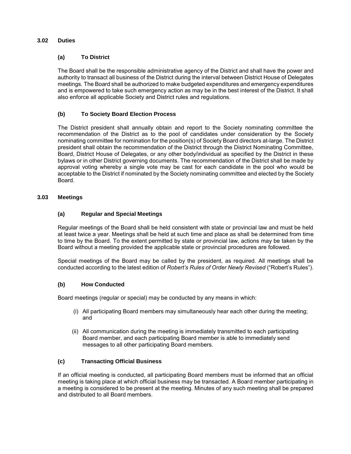## <span id="page-4-1"></span><span id="page-4-0"></span>**3.02 Duties**

## **(a) To District**

The Board shall be the responsible administrative agency of the District and shall have the power and authority to transact all business of the District during the interval between District House of Delegates meetings. The Board shall be authorized to make budgeted expenditures and emergency expenditures and is empowered to take such emergency action as may be in the best interest of the District. It shall also enforce all applicable Society and District rules and regulations.

## <span id="page-4-2"></span>**(b) To Society Board Election Process**

The District president shall annually obtain and report to the Society nominating committee the recommendation of the District as to the pool of candidates under consideration by the Society nominating committee for nomination for the position(s) of Society Board directors at-large. The District president shall obtain the recommendation of the District through the District Nominating Committee, Board, District House of Delegates, or any other body/individual as specified by the District in these bylaws or in other District governing documents. The recommendation of the District shall be made by approval voting whereby a single vote may be cast for each candidate in the pool who would be acceptable to the District if nominated by the Society nominating committee and elected by the Society Board.

## <span id="page-4-4"></span><span id="page-4-3"></span>**3.03 Meetings**

## **(a) Regular and Special Meetings**

Regular meetings of the Board shall be held consistent with state or provincial law and must be held at least twice a year. Meetings shall be held at such time and place as shall be determined from time to time by the Board. To the extent permitted by state or provincial law, actions may be taken by the Board without a meeting provided the applicable state or provincial procedures are followed.

Special meetings of the Board may be called by the president, as required. All meetings shall be conducted according to the latest edition of *Robert's Rules of Order Newly Revised* ("Robert's Rules").

#### <span id="page-4-5"></span>**(b) How Conducted**

Board meetings (regular or special) may be conducted by any means in which:

- (i) All participating Board members may simultaneously hear each other during the meeting; and
- (ii) All communication during the meeting is immediately transmitted to each participating Board member, and each participating Board member is able to immediately send messages to all other participating Board members.

## <span id="page-4-6"></span>**(c) Transacting Official Business**

If an official meeting is conducted, all participating Board members must be informed that an official meeting is taking place at which official business may be transacted. A Board member participating in a meeting is considered to be present at the meeting. Minutes of any such meeting shall be prepared and distributed to all Board members.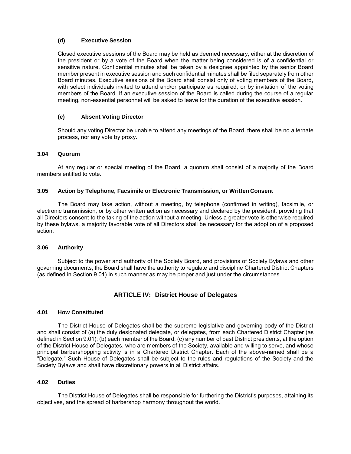## <span id="page-5-0"></span>**(d) Executive Session**

Closed executive sessions of the Board may be held as deemed necessary, either at the discretion of the president or by a vote of the Board when the matter being considered is of a confidential or sensitive nature. Confidential minutes shall be taken by a designee appointed by the senior Board member present in executive session and such confidential minutes shall be filed separately from other Board minutes. Executive sessions of the Board shall consist only of voting members of the Board, with select individuals invited to attend and/or participate as required, or by invitation of the voting members of the Board. If an executive session of the Board is called during the course of a regular meeting, non-essential personnel will be asked to leave for the duration of the executive session.

## <span id="page-5-1"></span>**(e) Absent Voting Director**

Should any voting Director be unable to attend any meetings of the Board, there shall be no alternate process, nor any vote by proxy.

#### <span id="page-5-2"></span>**3.04 Quorum**

At any regular or special meeting of the Board, a quorum shall consist of a majority of the Board members entitled to vote.

#### <span id="page-5-3"></span>**3.05 Action by Telephone, Facsimile or Electronic Transmission, or Written Consent**

The Board may take action, without a meeting, by telephone (confirmed in writing), facsimile, or electronic transmission, or by other written action as necessary and declared by the president, providing that all Directors consent to the taking of the action without a meeting. Unless a greater vote is otherwise required by these bylaws, a majority favorable vote of all Directors shall be necessary for the adoption of a proposed action.

#### <span id="page-5-4"></span>**3.06 Authority**

<span id="page-5-5"></span>Subject to the power and authority of the Society Board, and provisions of Society Bylaws and other governing documents, the Board shall have the authority to regulate and discipline Chartered District Chapters (as defined in Section 9.01) in such manner as may be proper and just under the circumstances.

## **ARTICLE IV: District House of Delegates**

## <span id="page-5-6"></span>**4.01 How Constituted**

The District House of Delegates shall be the supreme legislative and governing body of the District and shall consist of (a) the duly designated delegate, or delegates, from each Chartered District Chapter (as defined in Section 9.01); (b) each member of the Board; (c) any number of past District presidents, at the option of the District House of Delegates, who are members of the Society, available and willing to serve, and whose principal barbershopping activity is in a Chartered District Chapter. Each of the above-named shall be a "Delegate." Such House of Delegates shall be subject to the rules and regulations of the Society and the Society Bylaws and shall have discretionary powers in all District affairs.

#### <span id="page-5-7"></span>**4.02 Duties**

The District House of Delegates shall be responsible for furthering the District's purposes, attaining its objectives, and the spread of barbershop harmony throughout the world.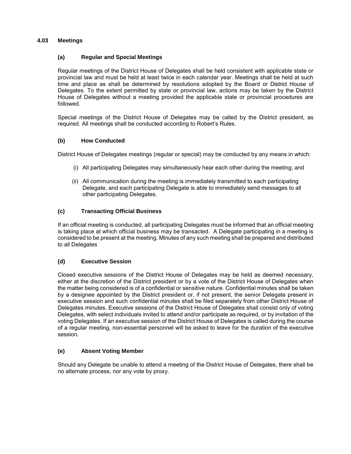## <span id="page-6-1"></span><span id="page-6-0"></span>**4.03 Meetings**

## **(a) Regular and Special Meetings**

Regular meetings of the District House of Delegates shall be held consistent with applicable state or provincial law and must be held at least twice in each calendar year. Meetings shall be held at such time and place as shall be determined by resolutions adopted by the Board or District House of Delegates. To the extent permitted by state or provincial law, actions may be taken by the District House of Delegates without a meeting provided the applicable state or provincial procedures are followed.

Special meetings of the District House of Delegates may be called by the District president, as required. All meetings shall be conducted according to Robert's Rules.

## <span id="page-6-2"></span>**(b) How Conducted**

District House of Delegates meetings (regular or special) may be conducted by any means in which:

- (i) All participating Delegates may simultaneously hear each other during the meeting; and
- (ii) All communication during the meeting is immediately transmitted to each participating Delegate, and each participating Delegate is able to immediately send messages to all other participating Delegates.

## <span id="page-6-3"></span>**(c) Transacting Official Business**

If an official meeting is conducted, all participating Delegates must be informed that an official meeting is taking place at which official business may be transacted. A Delegate participating in a meeting is considered to be present at the meeting. Minutes of any such meeting shall be prepared and distributed to all Delegates

#### <span id="page-6-4"></span>**(d) Executive Session**

Closed executive sessions of the District House of Delegates may be held as deemed necessary, either at the discretion of the District president or by a vote of the District House of Delegates when the matter being considered is of a confidential or sensitive nature. Confidential minutes shall be taken by a designee appointed by the District president or, if not present, the senior Delegate present in executive session and such confidential minutes shall be filed separately from other District House of Delegates minutes. Executive sessions of the District House of Delegates shall consist only of voting Delegates, with select individuals invited to attend and/or participate as required, or by invitation of the voting Delegates. If an executive session of the District House of Delegates is called during the course of a regular meeting, non-essential personnel will be asked to leave for the duration of the executive session.

#### <span id="page-6-5"></span>**(e) Absent Voting Member**

Should any Delegate be unable to attend a meeting of the District House of Delegates, there shall be no alternate process, nor any vote by proxy.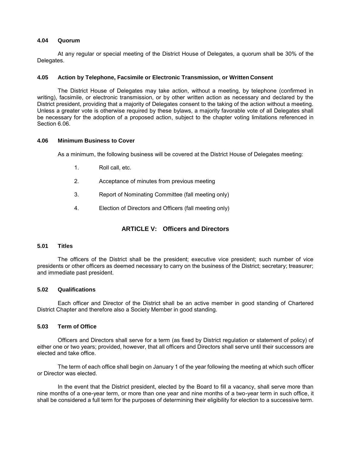#### <span id="page-7-0"></span>**4.04 Quorum**

At any regular or special meeting of the District House of Delegates, a quorum shall be 30% of the Delegates.

#### <span id="page-7-1"></span>**4.05 Action by Telephone, Facsimile or Electronic Transmission, or Written Consent**

The District House of Delegates may take action, without a meeting, by telephone (confirmed in writing), facsimile, or electronic transmission, or by other written action as necessary and declared by the District president, providing that a majority of Delegates consent to the taking of the action without a meeting. Unless a greater vote is otherwise required by these bylaws, a majority favorable vote of all Delegates shall be necessary for the adoption of a proposed action, subject to the chapter voting limitations referenced in Section 6.06.

#### <span id="page-7-2"></span>**4.06 Minimum Business to Cover**

As a minimum, the following business will be covered at the District House of Delegates meeting:

- 1. Roll call, etc.
- 2. Acceptance of minutes from previous meeting
- 3. Report of Nominating Committee (fall meeting only)
- 4. Election of Directors and Officers (fall meeting only)

## **ARTICLE V: Officers and Directors**

#### <span id="page-7-4"></span><span id="page-7-3"></span>**5.01 Titles**

The officers of the District shall be the president; executive vice president; such number of vice presidents or other officers as deemed necessary to carry on the business of the District; secretary; treasurer; and immediate past president.

#### <span id="page-7-5"></span>**5.02 Qualifications**

Each officer and Director of the District shall be an active member in good standing of Chartered District Chapter and therefore also a Society Member in good standing.

## <span id="page-7-6"></span>**5.03 Term of Office**

Officers and Directors shall serve for a term (as fixed by District regulation or statement of policy) of either one or two years; provided, however, that all officers and Directors shall serve until their successors are elected and take office.

The term of each office shall begin on January 1 of the year following the meeting at which such officer or Director was elected.

In the event that the District president, elected by the Board to fill a vacancy, shall serve more than nine months of a one-year term, or more than one year and nine months of a two-year term in such office, it shall be considered a full term for the purposes of determining their eligibility for election to a successive term.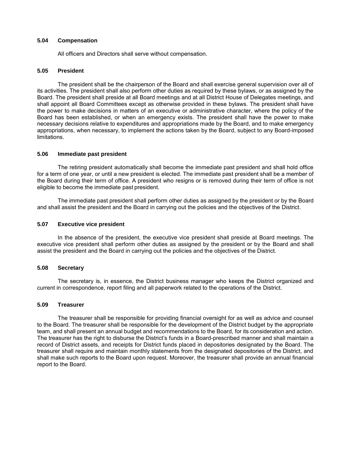#### <span id="page-8-0"></span>**5.04 Compensation**

All officers and Directors shall serve without compensation.

## <span id="page-8-1"></span>**5.05 President**

The president shall be the chairperson of the Board and shall exercise general supervision over all of its activities. The president shall also perform other duties as required by these bylaws, or as assigned by the Board. The president shall preside at all Board meetings and at all District House of Delegates meetings, and shall appoint all Board Committees except as otherwise provided in these bylaws. The president shall have the power to make decisions in matters of an executive or administrative character, where the policy of the Board has been established, or when an emergency exists. The president shall have the power to make necessary decisions relative to expenditures and appropriations made by the Board, and to make emergency appropriations, when necessary, to implement the actions taken by the Board, subject to any Board-imposed limitations.

#### <span id="page-8-2"></span>**5.06 Immediate past president**

The retiring president automatically shall become the immediate past president and shall hold office for a term of one year, or until a new president is elected. The immediate past president shall be a member of the Board during their term of office. A president who resigns or is removed during their term of office is not eligible to become the immediate past president.

The immediate past president shall perform other duties as assigned by the president or by the Board and shall assist the president and the Board in carrying out the policies and the objectives of the District.

#### <span id="page-8-3"></span>**5.07 Executive vice president**

In the absence of the president, the executive vice president shall preside at Board meetings. The executive vice president shall perform other duties as assigned by the president or by the Board and shall assist the president and the Board in carrying out the policies and the objectives of the District.

#### <span id="page-8-4"></span>**5.08 Secretary**

The secretary is, in essence, the District business manager who keeps the District organized and current in correspondence, report filing and all paperwork related to the operations of the District.

#### <span id="page-8-5"></span>**5.09 Treasurer**

The treasurer shall be responsible for providing financial oversight for as well as advice and counsel to the Board. The treasurer shall be responsible for the development of the District budget by the appropriate team, and shall present an annual budget and recommendations to the Board, for its consideration and action. The treasurer has the right to disburse the District's funds in a Board-prescribed manner and shall maintain a record of District assets, and receipts for District funds placed in depositories designated by the Board. The treasurer shall require and maintain monthly statements from the designated depositories of the District, and shall make such reports to the Board upon request. Moreover, the treasurer shall provide an annual financial report to the Board.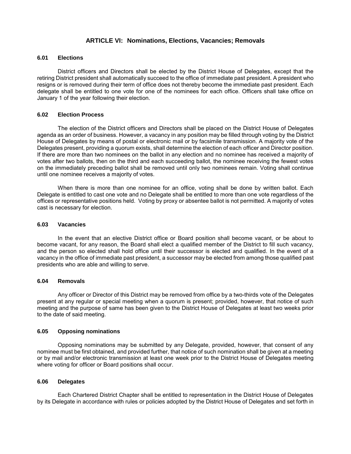## **ARTICLE VI: Nominations, Elections, Vacancies; Removals**

#### <span id="page-9-1"></span><span id="page-9-0"></span>**6.01 Elections**

District officers and Directors shall be elected by the District House of Delegates, except that the retiring District president shall automatically succeed to the office of immediate past president. A president who resigns or is removed during their term of office does not thereby become the immediate past president. Each delegate shall be entitled to one vote for one of the nominees for each office. Officers shall take office on January 1 of the year following their election.

## <span id="page-9-2"></span>**6.02 Election Process**

The election of the District officers and Directors shall be placed on the District House of Delegates agenda as an order of business. However, a vacancy in any position may be filled through voting by the District House of Delegates by means of postal or electronic mail or by facsimile transmission. A majority vote of the Delegates present, providing a quorum exists, shall determine the election of each officer and Director position. If there are more than two nominees on the ballot in any election and no nominee has received a majority of votes after two ballots, then on the third and each succeeding ballot, the nominee receiving the fewest votes on the immediately preceding ballot shall be removed until only two nominees remain. Voting shall continue until one nominee receives a majority of votes.

When there is more than one nominee for an office, voting shall be done by written ballot. Each Delegate is entitled to cast one vote and no Delegate shall be entitled to more than one vote regardless of the offices or representative positions held. Voting by proxy or absentee ballot is not permitted. A majority of votes cast is necessary for election.

#### <span id="page-9-3"></span>**6.03 Vacancies**

In the event that an elective District office or Board position shall become vacant, or be about to become vacant, for any reason, the Board shall elect a qualified member of the District to fill such vacancy, and the person so elected shall hold office until their successor is elected and qualified. In the event of a vacancy in the office of immediate past president, a successor may be elected from among those qualified past presidents who are able and willing to serve.

#### <span id="page-9-4"></span>**6.04 Removals**

Any officer or Director of this District may be removed from office by a two-thirds vote of the Delegates present at any regular or special meeting when a quorum is present; provided, however, that notice of such meeting and the purpose of same has been given to the District House of Delegates at least two weeks prior to the date of said meeting.

#### <span id="page-9-5"></span>**6.05 Opposing nominations**

Opposing nominations may be submitted by any Delegate, provided, however, that consent of any nominee must be first obtained, and provided further, that notice of such nomination shall be given at a meeting or by mail and/or electronic transmission at least one week prior to the District House of Delegates meeting where voting for officer or Board positions shall occur.

#### <span id="page-9-6"></span>**6.06 Delegates**

Each Chartered District Chapter shall be entitled to representation in the District House of Delegates by its Delegate in accordance with rules or policies adopted by the District House of Delegates and set forth in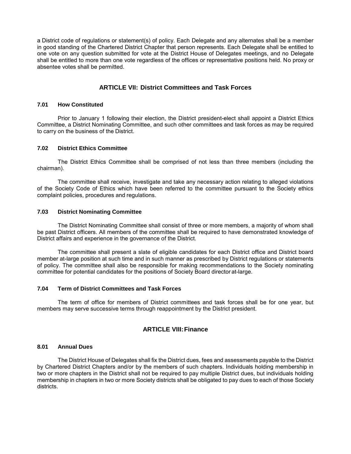a District code of regulations or statement(s) of policy. Each Delegate and any alternates shall be a member in good standing of the Chartered District Chapter that person represents. Each Delegate shall be entitled to one vote on any question submitted for vote at the District House of Delegates meetings, and no Delegate shall be entitled to more than one vote regardless of the offices or representative positions held. No proxy or absentee votes shall be permitted.

## **ARTICLE VII: District Committees and Task Forces**

#### <span id="page-10-1"></span><span id="page-10-0"></span>**7.01 How Constituted**

Prior to January 1 following their election, the District president-elect shall appoint a District Ethics Committee, a District Nominating Committee, and such other committees and task forces as may be required to carry on the business of the District.

#### <span id="page-10-2"></span>**7.02 District Ethics Committee**

The District Ethics Committee shall be comprised of not less than three members (including the chairman).

The committee shall receive, investigate and take any necessary action relating to alleged violations of the Society Code of Ethics which have been referred to the committee pursuant to the Society ethics complaint policies, procedures and regulations.

#### <span id="page-10-3"></span>**7.03 District Nominating Committee**

The District Nominating Committee shall consist of three or more members, a majority of whom shall be past District officers. All members of the committee shall be required to have demonstrated knowledge of District affairs and experience in the governance of the District.

The committee shall present a slate of eligible candidates for each District office and District board member at-large position at such time and in such manner as prescribed by District regulations or statements of policy. The committee shall also be responsible for making recommendations to the Society nominating committee for potential candidates for the positions of Society Board director at-large.

## <span id="page-10-4"></span>**7.04 Term of District Committees and Task Forces**

<span id="page-10-5"></span>The term of office for members of District committees and task forces shall be for one year, but members may serve successive terms through reappointment by the District president.

## **ARTICLE VIII: Finance**

#### <span id="page-10-6"></span>**8.01 Annual Dues**

The District House of Delegates shall fix the District dues, fees and assessments payable to the District by Chartered District Chapters and/or by the members of such chapters. Individuals holding membership in two or more chapters in the District shall not be required to pay multiple District dues, but individuals holding membership in chapters in two or more Society districts shall be obligated to pay dues to each of those Society districts.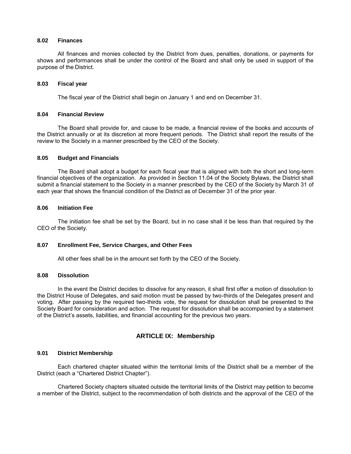#### <span id="page-11-0"></span>**8.02 Finances**

All finances and monies collected by the District from dues, penalties, donations, or payments for shows and performances shall be under the control of the Board and shall only be used in support of the purpose of the District.

#### <span id="page-11-1"></span>**8.03 Fiscal year**

The fiscal year of the District shall begin on January 1 and end on December 31.

#### <span id="page-11-2"></span>**8.04 Financial Review**

The Board shall provide for, and cause to be made, a financial review of the books and accounts of the District annually or at its discretion at more frequent periods. The District shall report the results of the review to the Society in a manner prescribed by the CEO of the Society.

#### <span id="page-11-3"></span>**8.05 Budget and Financials**

The Board shall adopt a budget for each fiscal year that is aligned with both the short and long-term financial objectives of the organization. As provided in Section 11.04 of the Society Bylaws, the District shall submit a financial statement to the Society in a manner prescribed by the CEO of the Society by March 31 of each year that shows the financial condition of the District as of December 31 of the prior year.

#### <span id="page-11-4"></span>**8.06 Initiation Fee**

The initiation fee shall be set by the Board, but in no case shall it be less than that required by the CEO of the Society.

#### <span id="page-11-5"></span>**8.07 Enrollment Fee, Service Charges, and Other Fees**

All other fees shall be in the amount set forth by the CEO of the Society.

#### <span id="page-11-6"></span>**8.08 Dissolution**

In the event the District decides to dissolve for any reason, it shall first offer a motion of dissolution to the District House of Delegates, and said motion must be passed by two-thirds of the Delegates present and voting. After passing by the required two-thirds vote, the request for dissolution shall be presented to the Society Board for consideration and action. The request for dissolution shall be accompanied by a statement of the District's assets, liabilities, and financial accounting for the previous two years.

## **ARTICLE IX: Membership**

## <span id="page-11-8"></span><span id="page-11-7"></span>**9.01 District Membership**

Each chartered chapter situated within the territorial limits of the District shall be a member of the District (each a "Chartered District Chapter").

Chartered Society chapters situated outside the territorial limits of the District may petition to become a member of the District, subject to the recommendation of both districts and the approval of the CEO of the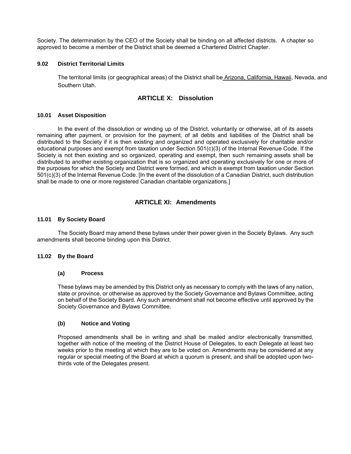Society. The determination by the CEO of the Society shall be binding on all affected districts. A chapter so approved to become a member of the District shall be deemed a Chartered District Chapter.

#### <span id="page-12-1"></span><span id="page-12-0"></span>**9.02 District Territorial Limits**

The territorial limits (or geographical areas) of the District shall be Arizona, California, Hawaii, Nevada, and Southern Utah.

## **ARTICLE X: Dissolution**

#### <span id="page-12-2"></span>**10.01 Asset Disposition**

In the event of the dissolution or winding up of the District, voluntarily or otherwise, all of its assets remaining after payment, or provision for the payment, of all debts and liabilities of the District shall be distributed to the Society if it is then existing and organized and operated exclusively for charitable and/or educational purposes and exempt from taxation under Section 501(c)(3) of the Internal Revenue Code. If the Society is not then existing and so organized, operating and exempt, then such remaining assets shall be distributed to another existing organization that is so organized and operating exclusively for one or more of the purposes for which the Society and District were formed, and which is exempt from taxation under Section 501(c)(3) of the Internal Revenue Code. [In the event of the dissolution of a Canadian District, such distribution shall be made to one or more registered Canadian charitable organizations.]

## **ARTICLE XI: Amendments**

#### <span id="page-12-4"></span><span id="page-12-3"></span>**11.01 By Society Board**

The Society Board may amend these bylaws under their power given in the Society Bylaws. Any such amendments shall become binding upon this District.

#### <span id="page-12-6"></span><span id="page-12-5"></span>**11.02 By the Board**

#### **(a) Process**

These bylaws may be amended by this District only as necessary to comply with the laws of any nation, state or province, or otherwise as approved by the Society Governance and Bylaws Committee, acting on behalf of the Society Board. Any such amendment shall not become effective until approved by the Society Governance and Bylaws Committee.

#### <span id="page-12-7"></span>**(b) Notice and Voting**

Proposed amendments shall be in writing and shall be mailed and/or electronically transmitted, together with notice of the meeting of the District House of Delegates, to each Delegate at least two weeks prior to the meeting at which they are to be voted on. Amendments may be considered at any regular or special meeting of the Board at which a quorum is present, and shall be adopted upon twothirds vote of the Delegates present.